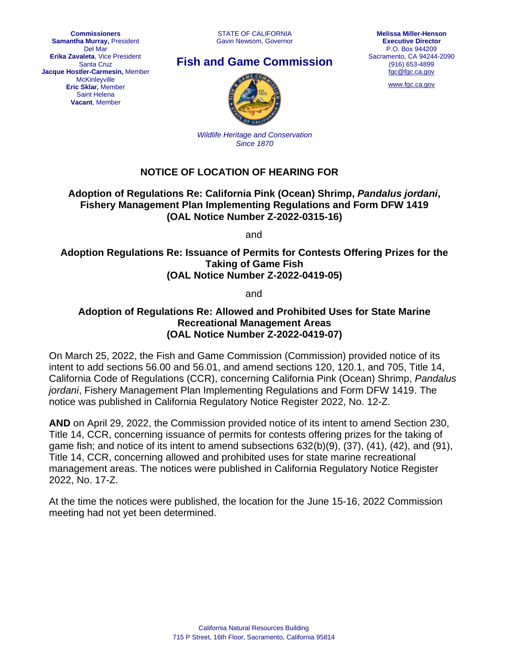**Commissioners Samantha Murray,** President Del Mar **Erika Zavaleta**, Vice President Santa Cruz **Jacque Hostler-Carmesin,** Member **McKinleyville Eric Sklar,** Member Saint Helena **Vacant**, Member

# **Fish and Game Commission**



[www.fgc.ca.gov](http://www.fgc.ca.gov/)



*Wildlife Heritage and Conservation Since 1870*

# **NOTICE OF LOCATION OF HEARING FOR**

# **Adoption of Regulations Re: California Pink (Ocean) Shrimp,** *Pandalus jordani***, Fishery Management Plan Implementing Regulations and Form DFW 1419 (OAL Notice Number Z-2022-0315-16)**

and

# **Adoption Regulations Re: Issuance of Permits for Contests Offering Prizes for the Taking of Game Fish (OAL Notice Number Z-2022-0419-05)**

and

## **Adoption of Regulations Re: Allowed and Prohibited Uses for State Marine Recreational Management Areas (OAL Notice Number Z-2022-0419-07)**

On March 25, 2022, the Fish and Game Commission (Commission) provided notice of its intent to add sections 56.00 and 56.01, and amend sections 120, 120.1, and 705, Title 14, California Code of Regulations (CCR), concerning California Pink (Ocean) Shrimp, *Pandalus jordani*, Fishery Management Plan Implementing Regulations and Form DFW 1419. The notice was published in California Regulatory Notice Register 2022, No. 12-Z.

**AND** on April 29, 2022, the Commission provided notice of its intent to amend Section 230, Title 14, CCR, concerning issuance of permits for contests offering prizes for the taking of game fish; and notice of its intent to amend subsections 632(b)(9), (37), (41), (42), and (91), Title 14, CCR, concerning allowed and prohibited uses for state marine recreational management areas. The notices were published in California Regulatory Notice Register 2022, No. 17-Z.

At the time the notices were published, the location for the June 15-16, 2022 Commission meeting had not yet been determined.